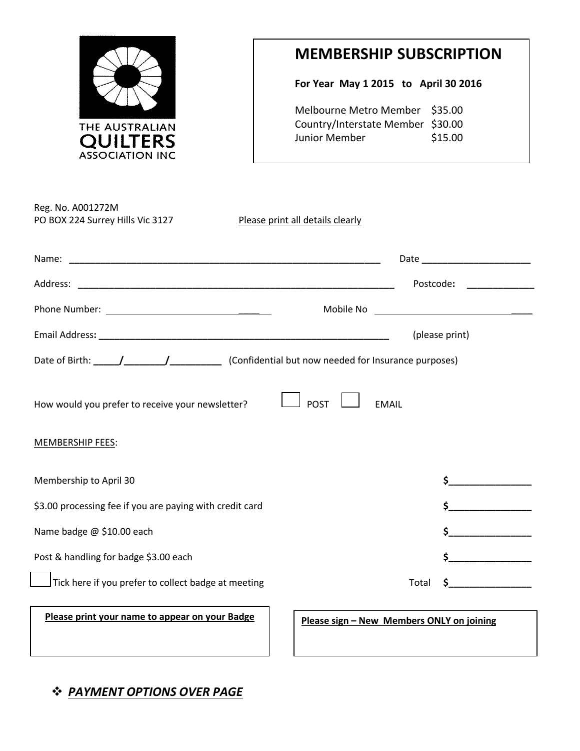

## **MEMBERSHIP SUBSCRIPTION**

**For Year May 1 2015 to April 30 2016**

Melbourne Metro Member \$35.00 Country/Interstate Member \$30.00 Junior Member \$15.00

|                                                                                                       | Date and the contract of the contract of the contract of the contract of the contract of the contract of the contract of the contract of the contract of the contract of the contract of the contract of the contract of the c |
|-------------------------------------------------------------------------------------------------------|--------------------------------------------------------------------------------------------------------------------------------------------------------------------------------------------------------------------------------|
|                                                                                                       | Postcode:                                                                                                                                                                                                                      |
|                                                                                                       |                                                                                                                                                                                                                                |
|                                                                                                       | (please print)                                                                                                                                                                                                                 |
|                                                                                                       |                                                                                                                                                                                                                                |
|                                                                                                       |                                                                                                                                                                                                                                |
| <b>POST</b>                                                                                           | <b>EMAIL</b>                                                                                                                                                                                                                   |
|                                                                                                       |                                                                                                                                                                                                                                |
| How would you prefer to receive your newsletter?<br><b>MEMBERSHIP FEES:</b><br>Membership to April 30 |                                                                                                                                                                                                                                |
| \$3.00 processing fee if you are paying with credit card                                              | $\mathsf{\$}$                                                                                                                                                                                                                  |
| Name badge @ \$10.00 each                                                                             |                                                                                                                                                                                                                                |
| Post & handling for badge \$3.00 each                                                                 | \$                                                                                                                                                                                                                             |

## *PAYMENT OPTIONS OVER PAGE*